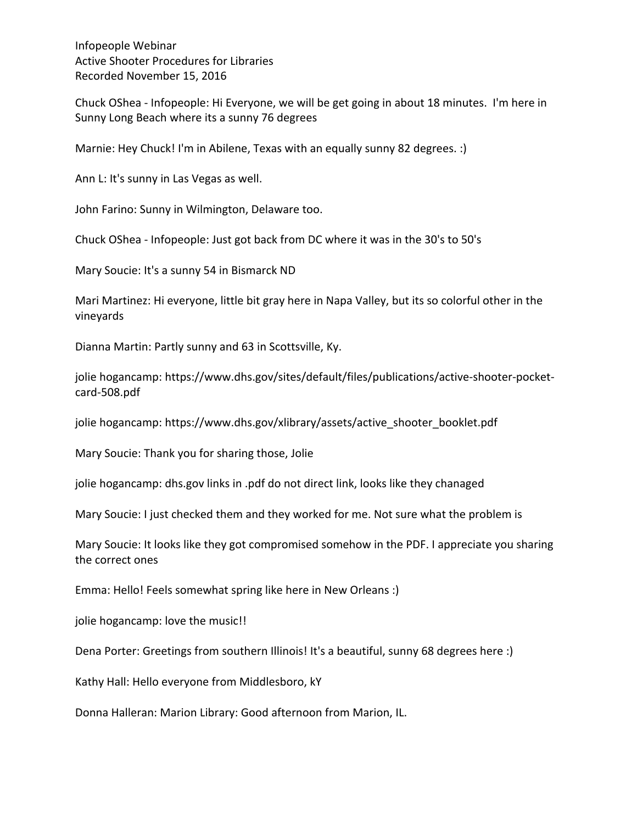Chuck OShea - Infopeople: Hi Everyone, we will be get going in about 18 minutes. I'm here in Sunny Long Beach where its a sunny 76 degrees

Marnie: Hey Chuck! I'm in Abilene, Texas with an equally sunny 82 degrees. :)

Ann L: It's sunny in Las Vegas as well.

John Farino: Sunny in Wilmington, Delaware too.

Chuck OShea - Infopeople: Just got back from DC where it was in the 30's to 50's

Mary Soucie: It's a sunny 54 in Bismarck ND

Mari Martinez: Hi everyone, little bit gray here in Napa Valley, but its so colorful other in the vineyards 

Dianna Martin: Partly sunny and 63 in Scottsville, Ky.

jolie hogancamp: https://www.dhs.gov/sites/default/files/publications/active-shooter-pocketcard-508.pdf

jolie hogancamp: https://www.dhs.gov/xlibrary/assets/active\_shooter\_booklet.pdf

Mary Soucie: Thank you for sharing those, Jolie

jolie hogancamp: dhs.gov links in .pdf do not direct link, looks like they chanaged

Mary Soucie: I just checked them and they worked for me. Not sure what the problem is

Mary Soucie: It looks like they got compromised somehow in the PDF. I appreciate you sharing the correct ones

Emma: Hello! Feels somewhat spring like here in New Orleans :)

jolie hogancamp: love the music!!

Dena Porter: Greetings from southern Illinois! It's a beautiful, sunny 68 degrees here :)

Kathy Hall: Hello everyone from Middlesboro, kY

Donna Halleran: Marion Library: Good afternoon from Marion, IL.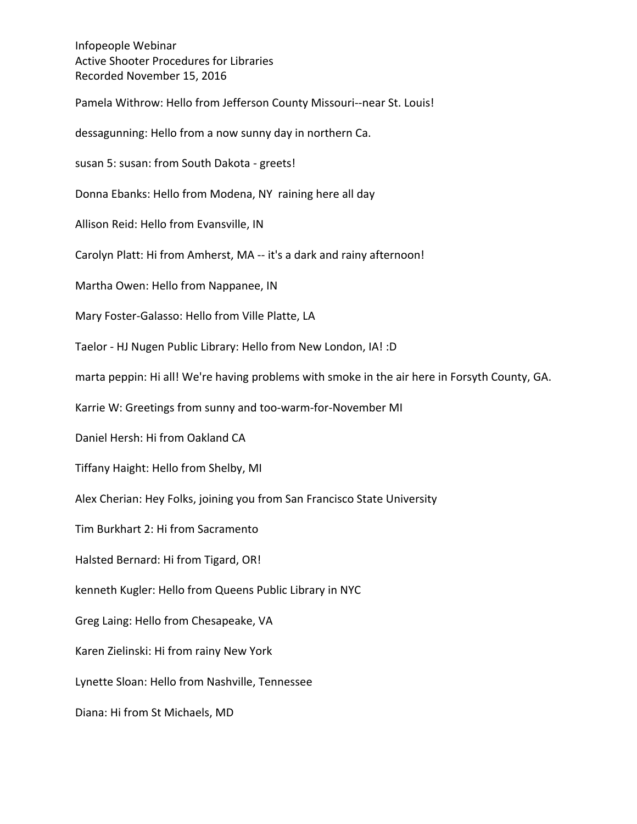Pamela Withrow: Hello from Jefferson County Missouri--near St. Louis! dessagunning: Hello from a now sunny day in northern Ca. susan 5: susan: from South Dakota - greets! Donna Ebanks: Hello from Modena, NY raining here all day Allison Reid: Hello from Evansville, IN Carolyn Platt: Hi from Amherst, MA -- it's a dark and rainy afternoon! Martha Owen: Hello from Nappanee, IN Mary Foster-Galasso: Hello from Ville Platte, LA Taelor - HJ Nugen Public Library: Hello from New London, IA! :D marta peppin: Hi all! We're having problems with smoke in the air here in Forsyth County, GA. Karrie W: Greetings from sunny and too-warm-for-November MI Daniel Hersh: Hi from Oakland CA Tiffany Haight: Hello from Shelby, MI Alex Cherian: Hey Folks, joining you from San Francisco State University Tim Burkhart 2: Hi from Sacramento Halsted Bernard: Hi from Tigard, OR! kenneth Kugler: Hello from Queens Public Library in NYC Greg Laing: Hello from Chesapeake, VA Karen Zielinski: Hi from rainy New York Lynette Sloan: Hello from Nashville, Tennessee

Diana: Hi from St Michaels, MD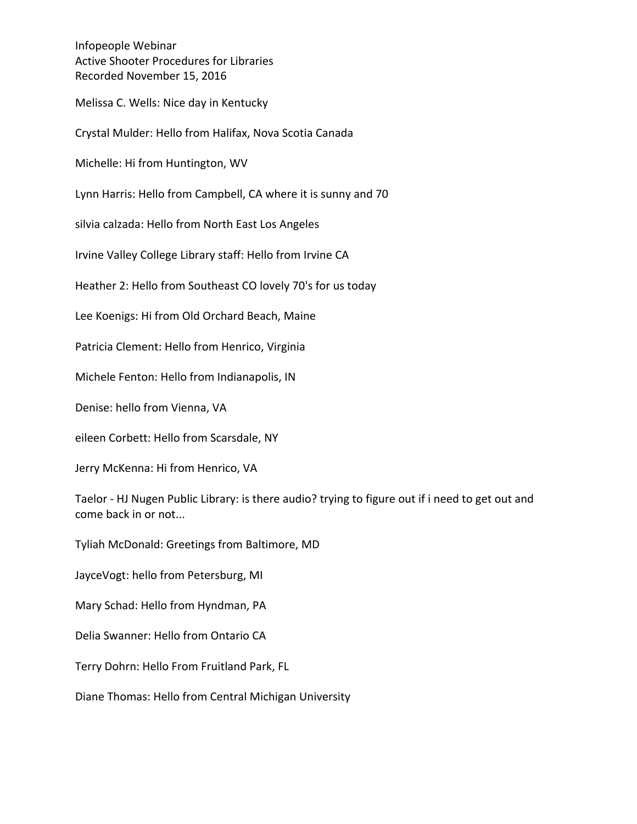Melissa C. Wells: Nice day in Kentucky

Crystal Mulder: Hello from Halifax, Nova Scotia Canada

Michelle: Hi from Huntington, WV

Lynn Harris: Hello from Campbell, CA where it is sunny and 70

silvia calzada: Hello from North East Los Angeles

Irvine Valley College Library staff: Hello from Irvine CA

Heather 2: Hello from Southeast CO lovely 70's for us today

Lee Koenigs: Hi from Old Orchard Beach, Maine

Patricia Clement: Hello from Henrico, Virginia

Michele Fenton: Hello from Indianapolis, IN

Denise: hello from Vienna, VA

eileen Corbett: Hello from Scarsdale, NY

Jerry McKenna: Hi from Henrico, VA

Taelor - HJ Nugen Public Library: is there audio? trying to figure out if i need to get out and come back in or not...

Tyliah McDonald: Greetings from Baltimore, MD

JayceVogt: hello from Petersburg, MI

Mary Schad: Hello from Hyndman, PA

Delia Swanner: Hello from Ontario CA

Terry Dohrn: Hello From Fruitland Park, FL

Diane Thomas: Hello from Central Michigan University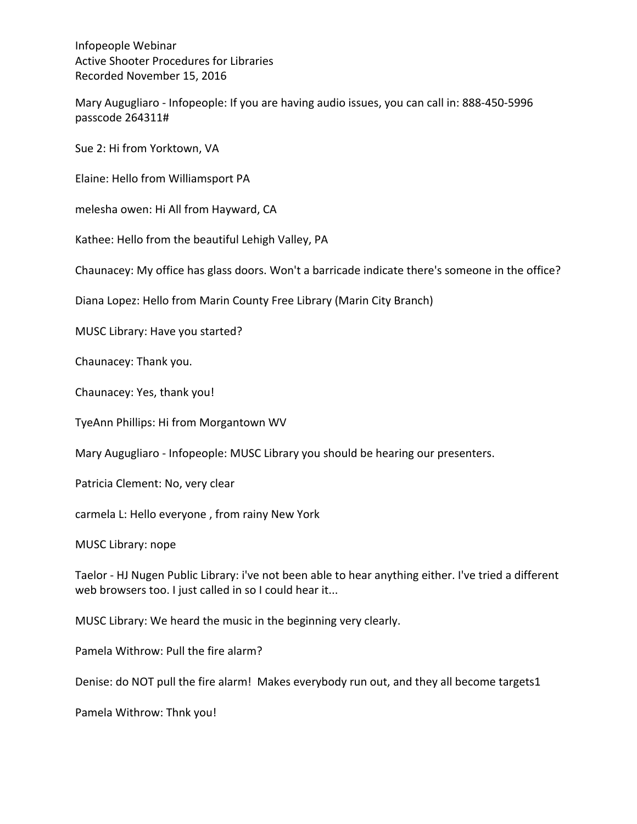Mary Augugliaro - Infopeople: If you are having audio issues, you can call in: 888-450-5996 passcode 264311#

Sue 2: Hi from Yorktown, VA

Elaine: Hello from Williamsport PA

melesha owen: Hi All from Hayward, CA

Kathee: Hello from the beautiful Lehigh Valley, PA

Chaunacey: My office has glass doors. Won't a barricade indicate there's someone in the office?

Diana Lopez: Hello from Marin County Free Library (Marin City Branch)

MUSC Library: Have you started?

Chaunacey: Thank you.

Chaunacey: Yes, thank you!

TyeAnn Phillips: Hi from Morgantown WV

Mary Augugliaro - Infopeople: MUSC Library you should be hearing our presenters.

Patricia Clement: No, very clear

carmela L: Hello everyone, from rainy New York

MUSC Library: nope

Taelor - HJ Nugen Public Library: i've not been able to hear anything either. I've tried a different web browsers too. I just called in so I could hear it...

MUSC Library: We heard the music in the beginning very clearly.

Pamela Withrow: Pull the fire alarm?

Denise: do NOT pull the fire alarm! Makes everybody run out, and they all become targets1

Pamela Withrow: Thnk you!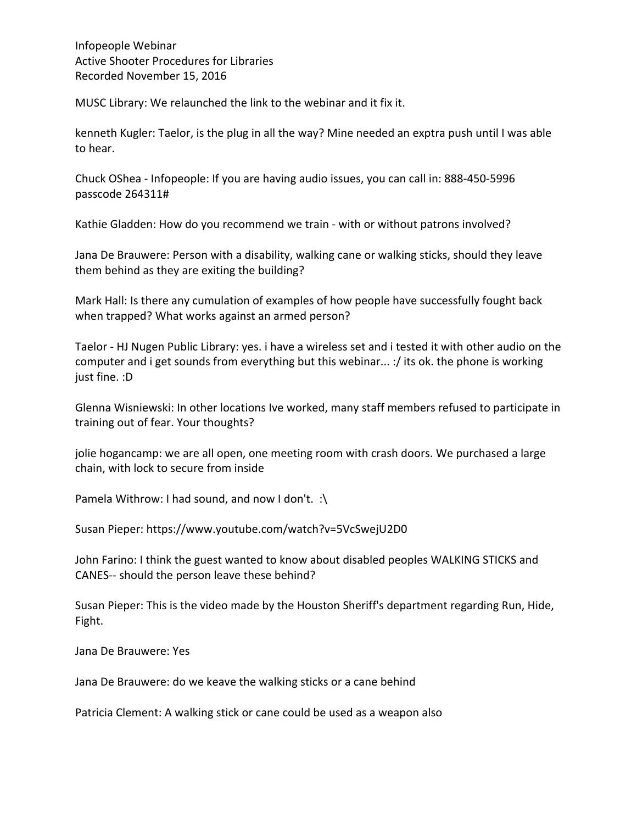MUSC Library: We relaunched the link to the webinar and it fix it.

kenneth Kugler: Taelor, is the plug in all the way? Mine needed an exptra push until I was able to hear.

Chuck OShea - Infopeople: If you are having audio issues, you can call in: 888-450-5996 passcode 264311#

Kathie Gladden: How do you recommend we train - with or without patrons involved?

Jana De Brauwere: Person with a disability, walking cane or walking sticks, should they leave them behind as they are exiting the building?

Mark Hall: Is there any cumulation of examples of how people have successfully fought back when trapped? What works against an armed person?

Taelor - HJ Nugen Public Library: yes. i have a wireless set and i tested it with other audio on the computer and i get sounds from everything but this webinar... :/ its ok. the phone is working just fine. :D

Glenna Wisniewski: In other locations Ive worked, many staff members refused to participate in training out of fear. Your thoughts?

jolie hogancamp: we are all open, one meeting room with crash doors. We purchased a large chain, with lock to secure from inside

Pamela Withrow: I had sound, and now I don't.  $\therefore$ 

Susan Pieper: https://www.youtube.com/watch?v=5VcSwejU2D0

John Farino: I think the guest wanted to know about disabled peoples WALKING STICKS and CANES-- should the person leave these behind?

Susan Pieper: This is the video made by the Houston Sheriff's department regarding Run, Hide, Fight.

Jana De Brauwere: Yes

Jana De Brauwere: do we keave the walking sticks or a cane behind

Patricia Clement: A walking stick or cane could be used as a weapon also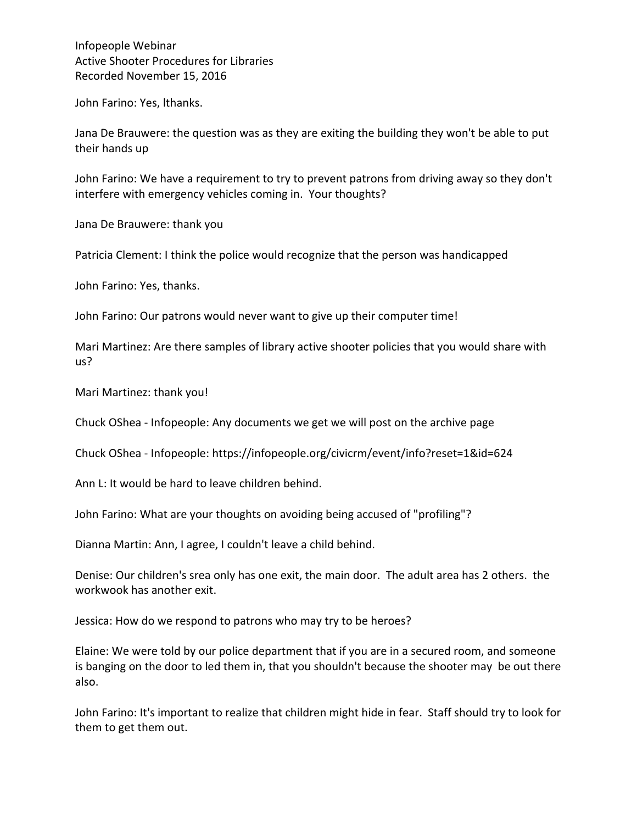John Farino: Yes, Ithanks.

Jana De Brauwere: the question was as they are exiting the building they won't be able to put their hands up

John Farino: We have a requirement to try to prevent patrons from driving away so they don't interfere with emergency vehicles coming in. Your thoughts?

Jana De Brauwere: thank you

Patricia Clement: I think the police would recognize that the person was handicapped

John Farino: Yes, thanks.

John Farino: Our patrons would never want to give up their computer time!

Mari Martinez: Are there samples of library active shooter policies that you would share with us?

Mari Martinez: thank you!

Chuck OShea - Infopeople: Any documents we get we will post on the archive page

Chuck OShea - Infopeople: https://infopeople.org/civicrm/event/info?reset=1&id=624

Ann L: It would be hard to leave children behind.

John Farino: What are your thoughts on avoiding being accused of "profiling"?

Dianna Martin: Ann, I agree, I couldn't leave a child behind.

Denise: Our children's srea only has one exit, the main door. The adult area has 2 others. the workwook has another exit.

Jessica: How do we respond to patrons who may try to be heroes?

Elaine: We were told by our police department that if you are in a secured room, and someone is banging on the door to led them in, that you shouldn't because the shooter may be out there also. 

John Farino: It's important to realize that children might hide in fear. Staff should try to look for them to get them out.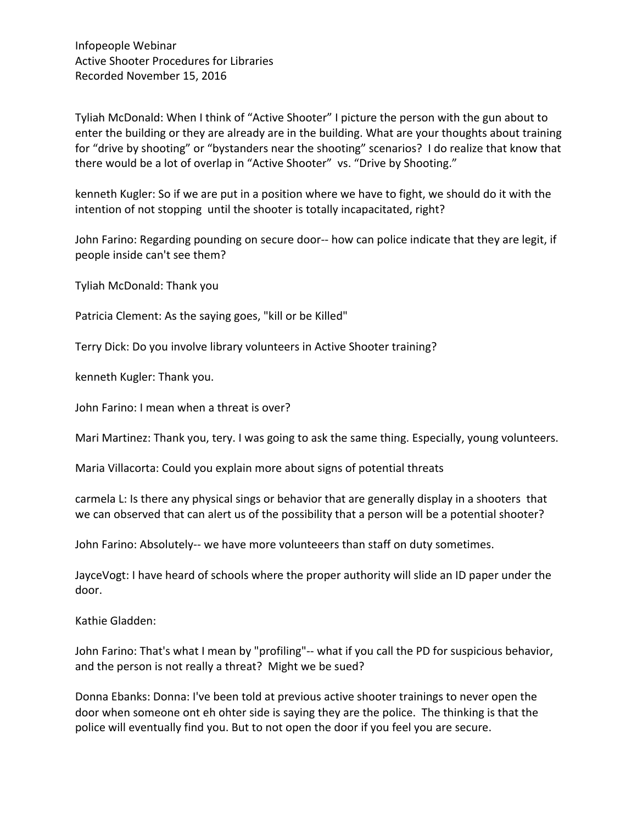Tyliah McDonald: When I think of "Active Shooter" I picture the person with the gun about to enter the building or they are already are in the building. What are your thoughts about training for "drive by shooting" or "bystanders near the shooting" scenarios? I do realize that know that there would be a lot of overlap in "Active Shooter" vs. "Drive by Shooting."

kenneth Kugler: So if we are put in a position where we have to fight, we should do it with the intention of not stopping until the shooter is totally incapacitated, right?

John Farino: Regarding pounding on secure door-- how can police indicate that they are legit, if people inside can't see them?

Tyliah McDonald: Thank you

Patricia Clement: As the saying goes, "kill or be Killed"

Terry Dick: Do you involve library volunteers in Active Shooter training?

kenneth Kugler: Thank you.

John Farino: I mean when a threat is over?

Mari Martinez: Thank you, tery. I was going to ask the same thing. Especially, young volunteers.

Maria Villacorta: Could you explain more about signs of potential threats

carmela L: Is there any physical sings or behavior that are generally display in a shooters that we can observed that can alert us of the possibility that a person will be a potential shooter?

John Farino: Absolutely-- we have more volunteeers than staff on duty sometimes.

JayceVogt: I have heard of schools where the proper authority will slide an ID paper under the door.

Kathie Gladden:

John Farino: That's what I mean by "profiling"-- what if you call the PD for suspicious behavior, and the person is not really a threat? Might we be sued?

Donna Ebanks: Donna: I've been told at previous active shooter trainings to never open the door when someone ont eh ohter side is saying they are the police. The thinking is that the police will eventually find you. But to not open the door if you feel you are secure.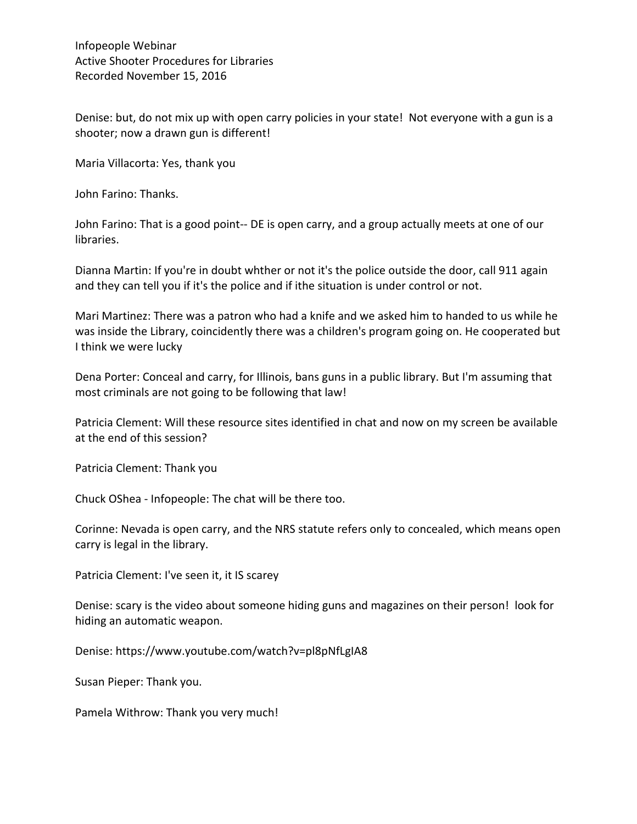Denise: but, do not mix up with open carry policies in your state! Not everyone with a gun is a shooter; now a drawn gun is different!

Maria Villacorta: Yes, thank you

John Farino: Thanks.

John Farino: That is a good point-- DE is open carry, and a group actually meets at one of our libraries.

Dianna Martin: If you're in doubt whther or not it's the police outside the door, call 911 again and they can tell you if it's the police and if ithe situation is under control or not.

Mari Martinez: There was a patron who had a knife and we asked him to handed to us while he was inside the Library, coincidently there was a children's program going on. He cooperated but I think we were lucky

Dena Porter: Conceal and carry, for Illinois, bans guns in a public library. But I'm assuming that most criminals are not going to be following that law!

Patricia Clement: Will these resource sites identified in chat and now on my screen be available at the end of this session?

Patricia Clement: Thank you

Chuck OShea - Infopeople: The chat will be there too.

Corinne: Nevada is open carry, and the NRS statute refers only to concealed, which means open carry is legal in the library.

Patricia Clement: I've seen it, it IS scarey

Denise: scary is the video about someone hiding guns and magazines on their person! look for hiding an automatic weapon.

Denise: https://www.youtube.com/watch?v=pl8pNfLgIA8

Susan Pieper: Thank you.

Pamela Withrow: Thank you very much!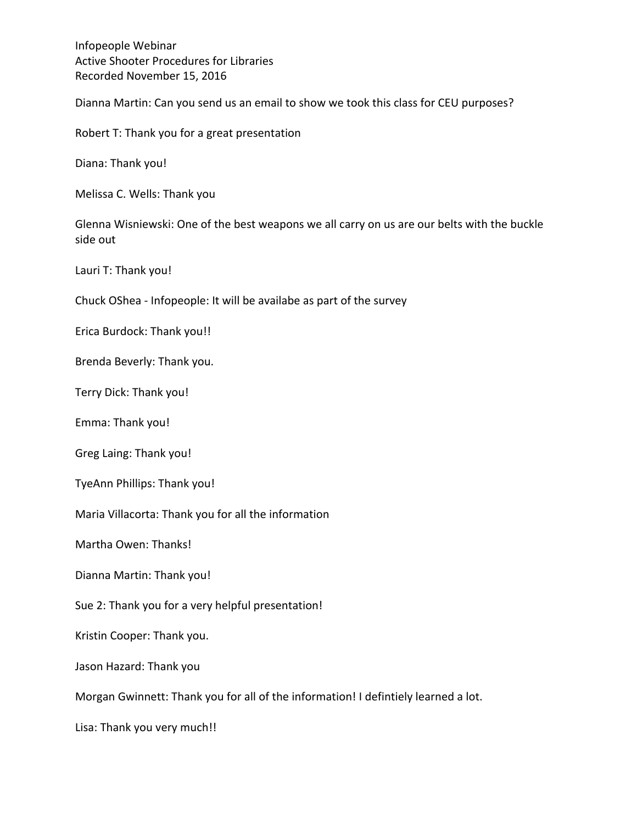Dianna Martin: Can you send us an email to show we took this class for CEU purposes?

Robert T: Thank you for a great presentation

Diana: Thank you!

Melissa C. Wells: Thank you

Glenna Wisniewski: One of the best weapons we all carry on us are our belts with the buckle side out

Lauri T: Thank you!

Chuck OShea - Infopeople: It will be availabe as part of the survey

Erica Burdock: Thank you!!

Brenda Beverly: Thank you.

Terry Dick: Thank you!

Emma: Thank you!

Greg Laing: Thank you!

TyeAnn Phillips: Thank you!

Maria Villacorta: Thank you for all the information

Martha Owen: Thanks!

Dianna Martin: Thank you!

Sue 2: Thank you for a very helpful presentation!

Kristin Cooper: Thank you.

Jason Hazard: Thank you

Morgan Gwinnett: Thank you for all of the information! I defintiely learned a lot.

Lisa: Thank you very much!!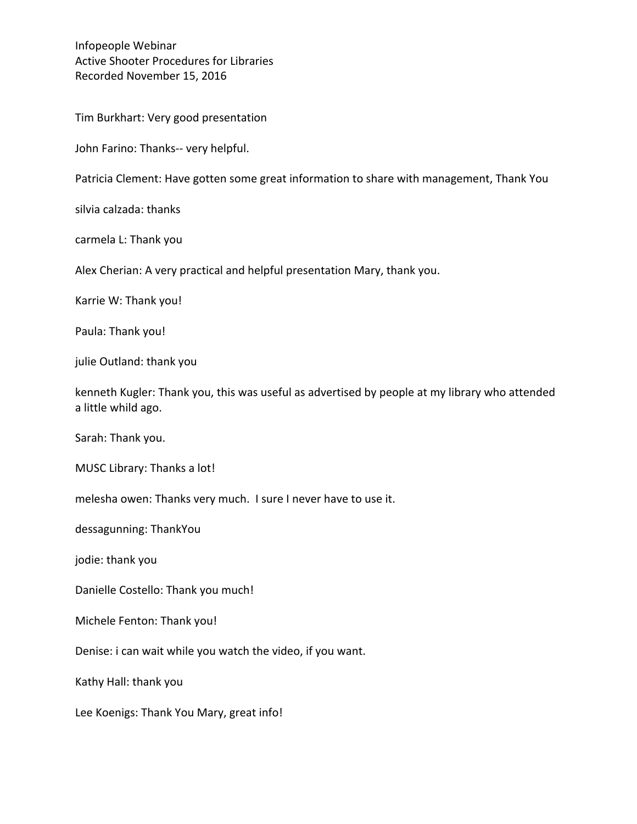Tim Burkhart: Very good presentation

John Farino: Thanks-- very helpful.

Patricia Clement: Have gotten some great information to share with management, Thank You

silvia calzada: thanks

carmela L: Thank you

Alex Cherian: A very practical and helpful presentation Mary, thank you.

Karrie W: Thank you!

Paula: Thank you!

julie Outland: thank you

kenneth Kugler: Thank you, this was useful as advertised by people at my library who attended a little whild ago.

Sarah: Thank you.

MUSC Library: Thanks a lot!

melesha owen: Thanks very much. I sure I never have to use it.

dessagunning: ThankYou

jodie: thank you

Danielle Costello: Thank you much!

Michele Fenton: Thank you!

Denise: i can wait while you watch the video, if you want.

Kathy Hall: thank you

Lee Koenigs: Thank You Mary, great info!